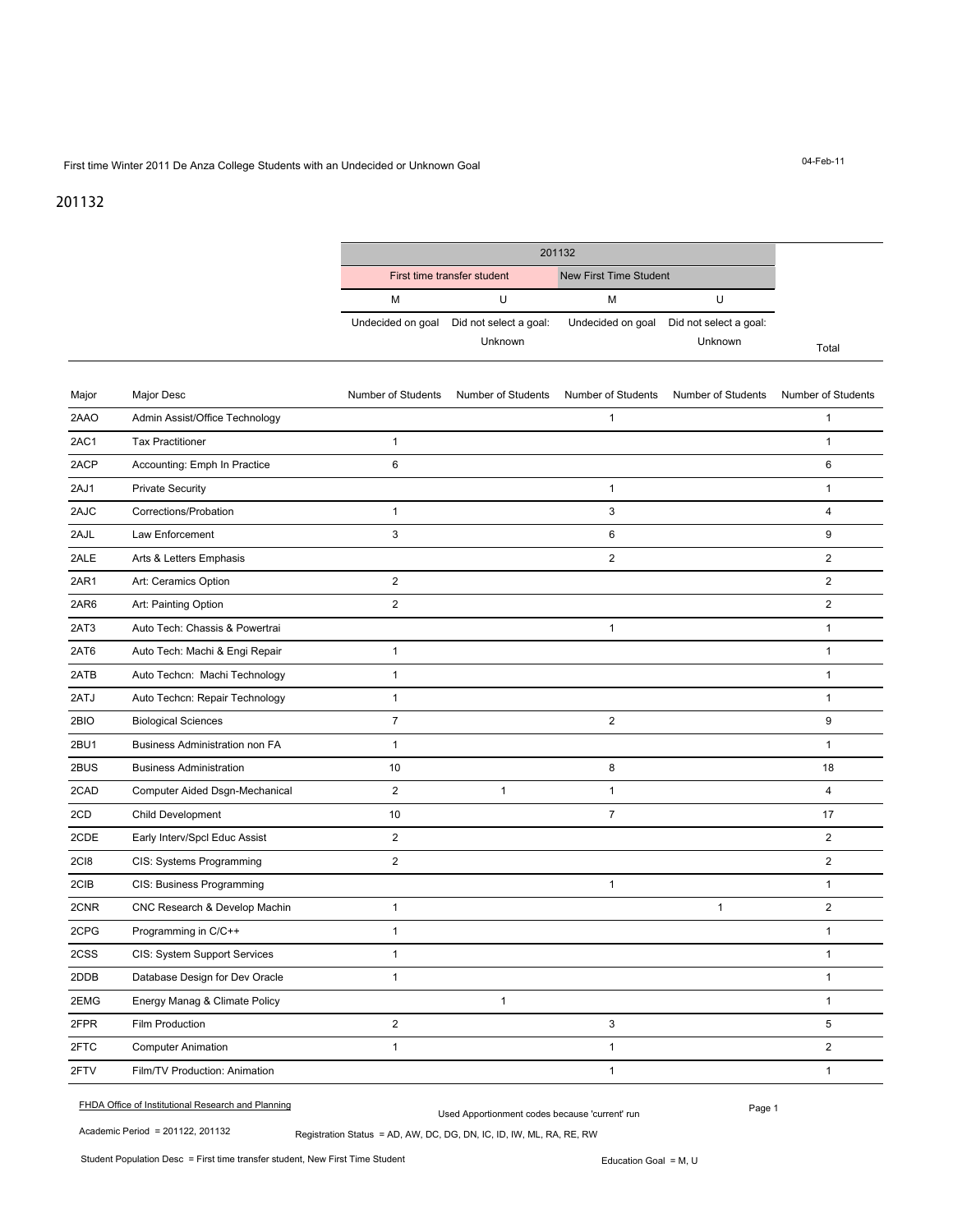## First time Winter 2011 De Anza College Students with an Undecided or Unknown Goal

## 201132

|       |                                | First time transfer student |                                   | New First Time Student |                                   |                    |
|-------|--------------------------------|-----------------------------|-----------------------------------|------------------------|-----------------------------------|--------------------|
|       |                                | м                           | U                                 | М                      | U                                 |                    |
|       |                                | Undecided on goal           | Did not select a goal:<br>Unknown | Undecided on goal      | Did not select a goal:<br>Unknown | Total              |
| Major | Major Desc                     | Number of Students          | Number of Students                | Number of Students     | Number of Students                | Number of Students |
| 2AAO  | Admin Assist/Office Technology |                             |                                   | $\mathbf{1}$           |                                   | $\mathbf{1}$       |
| 2AC1  | <b>Tax Practitioner</b>        | $\mathbf{1}$                |                                   |                        |                                   | $\mathbf{1}$       |
| 2ACP  | Accounting: Emph In Practice   | 6                           |                                   |                        |                                   | 6                  |
| 2AJ1  | <b>Private Security</b>        |                             |                                   | $\mathbf{1}$           |                                   | $\mathbf{1}$       |
| 2AJC  | Corrections/Probation          | $\mathbf{1}$                |                                   | 3                      |                                   | $\overline{4}$     |
| 2AJL  | Law Enforcement                | 3                           |                                   | 6                      |                                   | 9                  |
| 2ALE  | Arts & Letters Emphasis        |                             |                                   | $\overline{2}$         |                                   | $\overline{2}$     |
| 2AR1  | Art: Ceramics Option           | $\overline{2}$              |                                   |                        |                                   | $\overline{2}$     |
| 2AR6  | Art: Painting Option           | $\overline{2}$              |                                   |                        |                                   | $\overline{2}$     |
| 2AT3  | Auto Tech: Chassis & Powertrai |                             |                                   | $\mathbf{1}$           |                                   | $\mathbf{1}$       |
| 2AT6  | Auto Tech: Machi & Engi Repair | $\mathbf{1}$                |                                   |                        |                                   | $\mathbf{1}$       |
| 2ATB  | Auto Techcn: Machi Technology  | $\mathbf{1}$                |                                   |                        |                                   | $\mathbf{1}$       |
| 2ATJ  | Auto Techcn: Repair Technology | $\mathbf{1}$                |                                   |                        |                                   | $\mathbf{1}$       |
| 2BIO  | <b>Biological Sciences</b>     | $\overline{7}$              |                                   | $\overline{2}$         |                                   | 9                  |
| 2BU1  | Business Administration non FA | $\mathbf{1}$                |                                   |                        |                                   | $\mathbf{1}$       |
| 2BUS  | <b>Business Administration</b> | 10                          |                                   | 8                      |                                   | 18                 |
| 2CAD  | Computer Aided Dsgn-Mechanical | $\overline{2}$              | $\mathbf{1}$                      | $\mathbf{1}$           |                                   | $\overline{4}$     |
| 2CD   | Child Development              | 10                          |                                   | $\overline{7}$         |                                   | 17                 |
| 2CDE  | Early Interv/Spcl Educ Assist  | $\overline{2}$              |                                   |                        |                                   | $\overline{2}$     |
| 2CI8  | CIS: Systems Programming       | $\overline{2}$              |                                   |                        |                                   | $\overline{2}$     |
| 2CIB  | CIS: Business Programming      |                             |                                   | $\mathbf{1}$           |                                   | $\mathbf{1}$       |
| 2CNR  | CNC Research & Develop Machin  | $\mathbf{1}$                |                                   |                        | $\mathbf{1}$                      | $\overline{2}$     |
| 2CPG  | Programming in C/C++           | 1                           |                                   |                        |                                   | 1                  |
| 2CSS  | CIS: System Support Services   | $\mathbf{1}$                |                                   |                        |                                   | $\mathbf{1}$       |
| 2DDB  | Database Design for Dev Oracle | $\mathbf{1}$                |                                   |                        |                                   | $\mathbf{1}$       |
| 2EMG  | Energy Manag & Climate Policy  |                             | $\mathbf{1}$                      |                        |                                   | $\mathbf{1}$       |
| 2FPR  | Film Production                | $\overline{2}$              |                                   | $\mathbf{3}$           |                                   | 5                  |
| 2FTC  | <b>Computer Animation</b>      | $\mathbf{1}$                |                                   | $\mathbf{1}$           |                                   | $\overline{2}$     |
| 2FTV  | Film/TV Production: Animation  |                             |                                   | $\mathbf{1}$           |                                   | $\mathbf{1}$       |

Page 1 FHDA Office of Institutional Research and Planning Used Apportionment codes because 'current' run